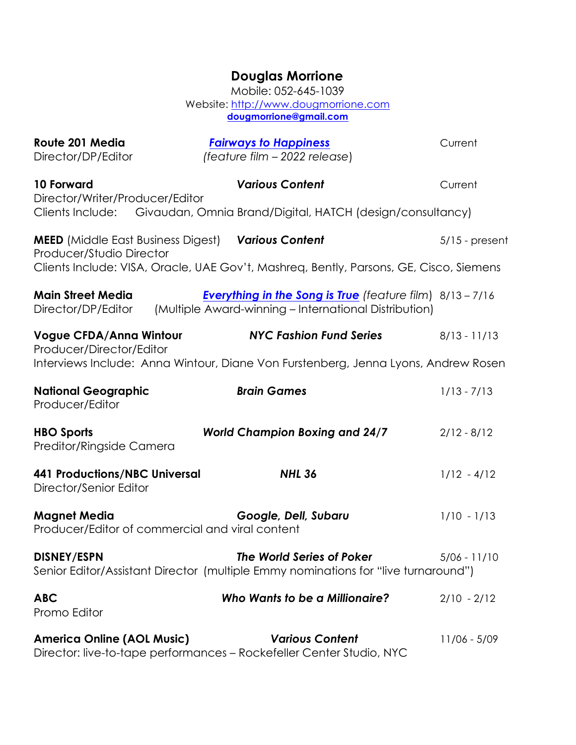## **Douglas Morrione**

Mobile: 052-645-1039 Website: http://www.dougmorrione.com **dougmorrione@gmail.com**

| Route 201 Media                                                        | <b>Fairways to Happiness</b>                                                                                            | Current          |
|------------------------------------------------------------------------|-------------------------------------------------------------------------------------------------------------------------|------------------|
| Director/DP/Editor                                                     | (feature film - 2022 release)                                                                                           |                  |
| <b>10 Forward</b>                                                      | <b>Various Content</b>                                                                                                  | Current          |
| Director/Writer/Producer/Editor                                        | Clients Include: Givaudan, Omnia Brand/Digital, HATCH (design/consultancy)                                              |                  |
| <b>MEED</b> (Middle East Business Digest)<br>Producer/Studio Director  | <b>Various Content</b>                                                                                                  | $5/15$ - present |
|                                                                        | Clients Include: VISA, Oracle, UAE Gov't, Mashreq, Bently, Parsons, GE, Cisco, Siemens                                  |                  |
| <b>Main Street Media</b><br>Director/DP/Editor                         | <b>Everything in the Song is True</b> (feature film) 8/13-7/16<br>(Multiple Award-winning – International Distribution) |                  |
| <b>Vogue CFDA/Anna Wintour</b><br>Producer/Director/Editor             | <b>NYC Fashion Fund Series</b>                                                                                          | $8/13 - 11/13$   |
|                                                                        | Interviews Include: Anna Wintour, Diane Von Furstenberg, Jenna Lyons, Andrew Rosen                                      |                  |
| <b>National Geographic</b><br>Producer/Editor                          | <b>Brain Games</b>                                                                                                      | $1/13 - 7/13$    |
| <b>HBO Sports</b><br>Preditor/Ringside Camera                          | <b>World Champion Boxing and 24/7</b>                                                                                   | $2/12 - 8/12$    |
| <b>441 Productions/NBC Universal</b><br>Director/Senior Editor         | <b>NHL 36</b>                                                                                                           | $1/12 - 4/12$    |
| <b>Magnet Media</b><br>Producer/Editor of commercial and viral content | Google, Dell, Subaru                                                                                                    | $1/10 - 1/13$    |
| <b>DISNEY/ESPN</b>                                                     | <b>The World Series of Poker</b><br>Senior Editor/Assistant Director (multiple Emmy nominations for "live turnaround")  | $5/06 - 11/10$   |
| <b>ABC</b><br>Promo Editor                                             | <b>Who Wants to be a Millionaire?</b>                                                                                   | $2/10 - 2/12$    |
| <b>America Online (AOL Music)</b>                                      | <b>Various Content</b><br>Director: live-to-tape performances – Rockefeller Center Studio, NYC                          | 11/06 - 5/09     |